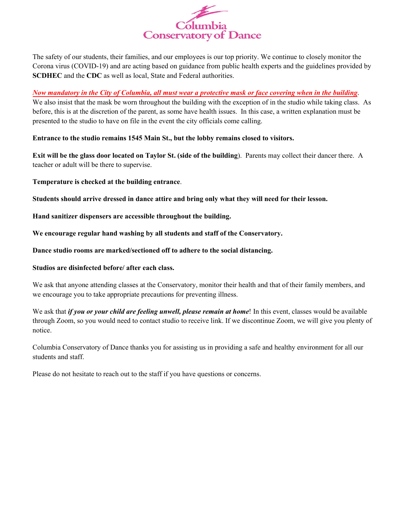

The safety of our students, their families, and our employees is our top priority. We continue to closely monitor the Corona virus (COVID-19) and are acting based on guidance from public health experts and the guidelines provided by **SCDHEC** and the **CDC** as well as local, State and Federal authorities.

## *Now mandatory in the City of Columbia, all must wear a protective mask or face covering when in the building*.

We also insist that the mask be worn throughout the building with the exception of in the studio while taking class. As before, this is at the discretion of the parent, as some have health issues. In this case, a written explanation must be presented to the studio to have on file in the event the city officials come calling.

**Entrance to the studio remains 1545 Main St., but the lobby remains closed to visitors.**

**Exit will be the glass door located on Taylor St. (side of the building**). Parents may collect their dancer there. A teacher or adult will be there to supervise.

**Temperature is checked at the building entrance**.

**Students should arrive dressed in dance attire and bring only what they will need for their lesson.**

**Hand sanitizer dispensers are accessible throughout the building.** 

**We encourage regular hand washing by all students and staff of the Conservatory.** 

**Dance studio rooms are marked/sectioned off to adhere to the social distancing.**

## **Studios are disinfected before/ after each class.**

We ask that anyone attending classes at the Conservatory, monitor their health and that of their family members, and we encourage you to take appropriate precautions for preventing illness.

We ask that *if you or your child are feeling unwell, please remain at home*! In this event, classes would be available through Zoom, so you would need to contact studio to receive link. If we discontinue Zoom, we will give you plenty of notice.

Columbia Conservatory of Dance thanks you for assisting us in providing a safe and healthy environment for all our students and staff.

Please do not hesitate to reach out to the staff if you have questions or concerns.